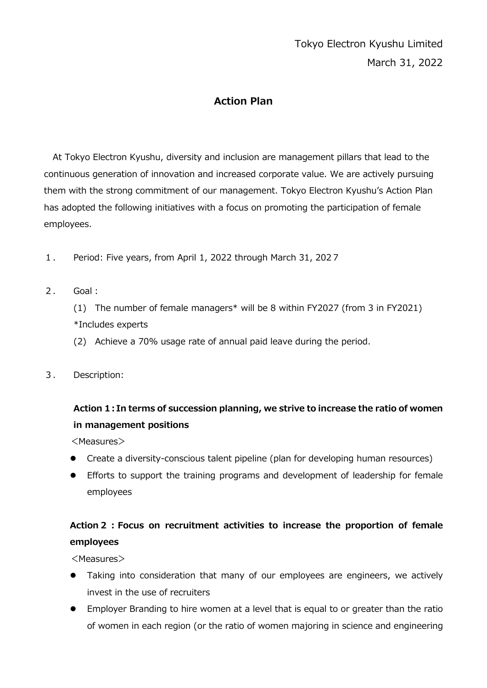# Tokyo Electron Kyushu Limited March 31, 2022

#### **Action Plan**

At Tokyo Electron Kyushu, diversity and inclusion are management pillars that lead to the continuous generation of innovation and increased corporate value. We are actively pursuing them with the strong commitment of our management. Tokyo Electron Kyushu's Action Plan has adopted the following initiatives with a focus on promoting the participation of female employees.

- 1. Period: Five years, from April 1, 2022 through March 31, 2027
- 2. Goal:

(1) The number of female managers\* will be 8 within FY2027 (from 3 in FY2021) \*Includes experts

(2) Achieve a 70% usage rate of annual paid leave during the period.

3. Description:

## **Action 1:In terms of succession planning, we strive to increase the ratio of women in management positions**

<Measures>

- Create a diversity-conscious talent pipeline (plan for developing human resources)
- Efforts to support the training programs and development of leadership for female employees

## **Action2:Focus on recruitment activities to increase the proportion of female employees**

<Measures>

- Taking into consideration that many of our employees are engineers, we actively invest in the use of recruiters
- Employer Branding to hire women at a level that is equal to or greater than the ratio of women in each region (or the ratio of women majoring in science and engineering